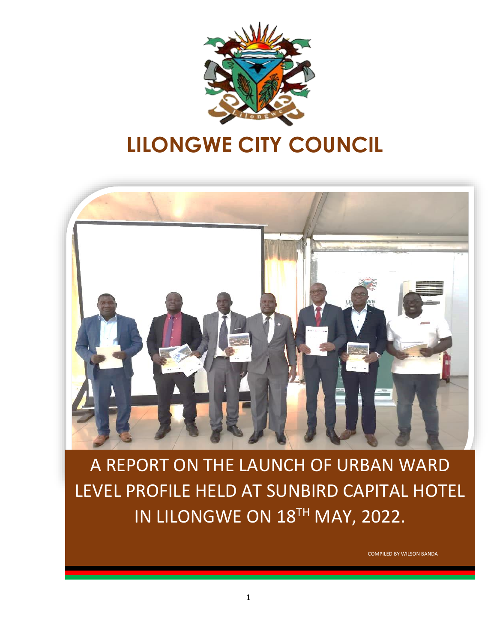

# **LILONGWE CITY COUNCIL**



A REPORT ON THE LAUNCH OF URBAN WARD LEVEL PROFILE HELD AT SUNBIRD CAPITAL HOTEL IN LILONGWE ON 18<sup>TH</sup> MAY, 2022.

COMPILED BY WILSON BANDA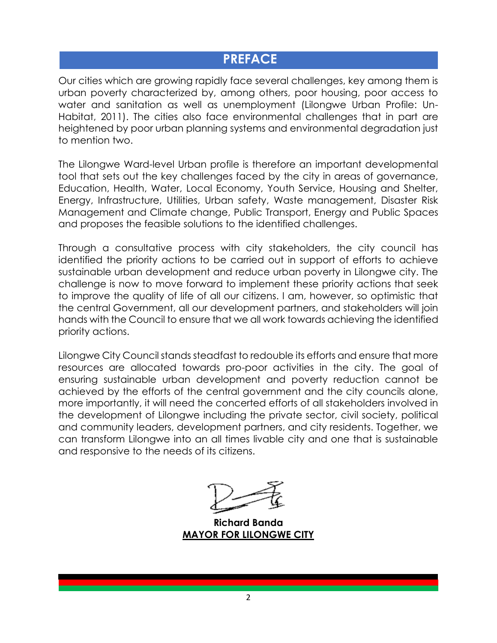### **PREFACE**

Our cities which are growing rapidly face several challenges, key among them is urban poverty characterized by, among others, poor housing, poor access to water and sanitation as well as unemployment (Lilongwe Urban Profile: Un-Habitat, 2011). The cities also face environmental challenges that in part are heightened by poor urban planning systems and environmental degradation just to mention two.

The Lilongwe Ward-level Urban profile is therefore an important developmental tool that sets out the key challenges faced by the city in areas of governance, Education, Health, Water, Local Economy, Youth Service, Housing and Shelter, Energy, Infrastructure, Utilities, Urban safety, Waste management, Disaster Risk Management and Climate change, Public Transport, Energy and Public Spaces and proposes the feasible solutions to the identified challenges.

Through a consultative process with city stakeholders, the city council has identified the priority actions to be carried out in support of efforts to achieve sustainable urban development and reduce urban poverty in Lilongwe city. The challenge is now to move forward to implement these priority actions that seek to improve the quality of life of all our citizens. I am, however, so optimistic that the central Government, all our development partners, and stakeholders will join hands with the Council to ensure that we all work towards achieving the identified priority actions.

Lilongwe City Council stands steadfast to redouble its efforts and ensure that more resources are allocated towards pro-poor activities in the city. The goal of ensuring sustainable urban development and poverty reduction cannot be achieved by the efforts of the central government and the city councils alone, more importantly, it will need the concerted efforts of all stakeholders involved in the development of Lilongwe including the private sector, civil society, political and community leaders, development partners, and city residents. Together, we can transform Lilongwe into an all times livable city and one that is sustainable and responsive to the needs of its citizens.

**Richard Banda MAYOR FOR LILONGWE CITY**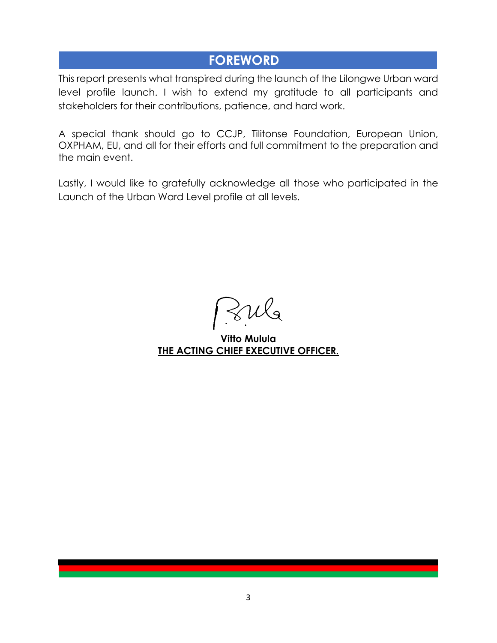### **FOREWORD**

This report presents what transpired during the launch of the Lilongwe Urban ward level profile launch. I wish to extend my gratitude to all participants and stakeholders for their contributions, patience, and hard work.

A special thank should go to CCJP, Tilitonse Foundation, European Union, OXPHAM, EU, and all for their efforts and full commitment to the preparation and the main event.

Lastly, I would like to gratefully acknowledge all those who participated in the Launch of the Urban Ward Level profile at all levels.

 $\mathcal{S}u$ l

**Vitto Mulula THE ACTING CHIEF EXECUTIVE OFFICER.**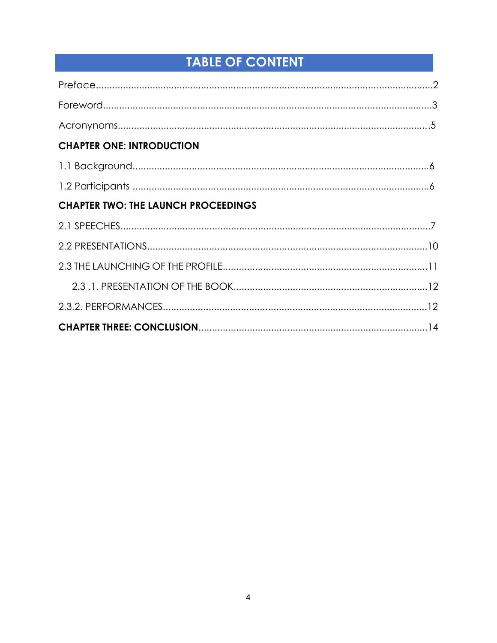# **TABLE OF CONTENT**

| <b>CHAPTER ONE: INTRODUCTION</b>           |  |
|--------------------------------------------|--|
|                                            |  |
|                                            |  |
| <b>CHAPTER TWO: THE LAUNCH PROCEEDINGS</b> |  |
|                                            |  |
|                                            |  |
|                                            |  |
|                                            |  |
|                                            |  |
|                                            |  |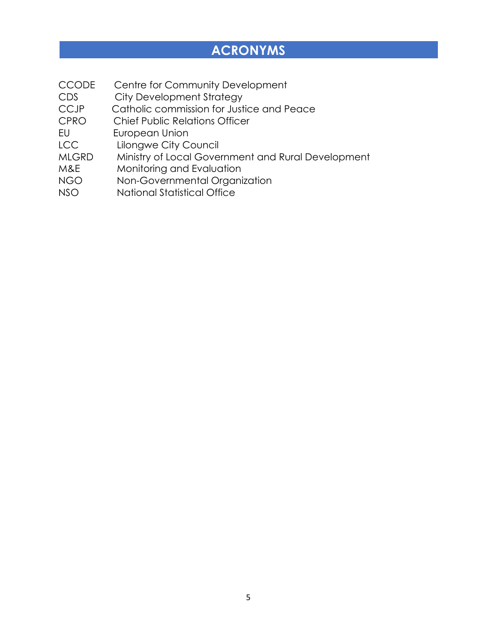### **ACRONYMS**

- CCODE Centre for Community Development
- CDS City Development Strategy<br>CCJP Catholic commission for Just
- Catholic commission for Justice and Peace
- CPRO Chief Public Relations Officer
- EU European Union
- LCC Lilongwe City Council
- MLGRD Ministry of Local Government and Rural Development
- M&E Monitoring and Evaluation
- NGO Non-Governmental Organization
- NSO National Statistical Office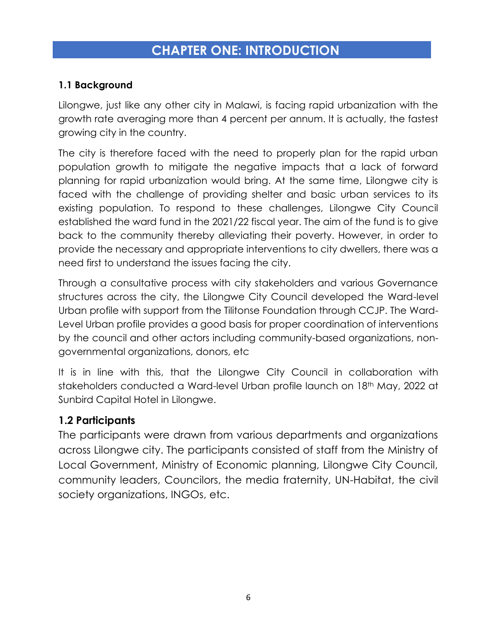### **CHAPTER ONE: INTRODUCTION**

### **1.1 Background**

Lilongwe, just like any other city in Malawi, is facing rapid urbanization with the growth rate averaging more than 4 percent per annum. It is actually, the fastest growing city in the country.

The city is therefore faced with the need to properly plan for the rapid urban population growth to mitigate the negative impacts that a lack of forward planning for rapid urbanization would bring. At the same time, Lilongwe city is faced with the challenge of providing shelter and basic urban services to its existing population. To respond to these challenges, Lilongwe City Council established the ward fund in the 2021/22 fiscal year. The aim of the fund is to give back to the community thereby alleviating their poverty. However, in order to provide the necessary and appropriate interventions to city dwellers, there was a need first to understand the issues facing the city.

Through a consultative process with city stakeholders and various Governance structures across the city, the Lilongwe City Council developed the Ward-level Urban profile with support from the Tilitonse Foundation through CCJP. The Ward-Level Urban profile provides a good basis for proper coordination of interventions by the council and other actors including community-based organizations, nongovernmental organizations, donors, etc

It is in line with this, that the Lilongwe City Council in collaboration with stakeholders conducted a Ward-level Urban profile launch on 18<sup>th</sup> May, 2022 at Sunbird Capital Hotel in Lilongwe.

### **1.2 Participants**

The participants were drawn from various departments and organizations across Lilongwe city. The participants consisted of staff from the Ministry of Local Government, Ministry of Economic planning, Lilongwe City Council, community leaders, Councilors, the media fraternity, UN-Habitat, the civil society organizations, INGOs, etc.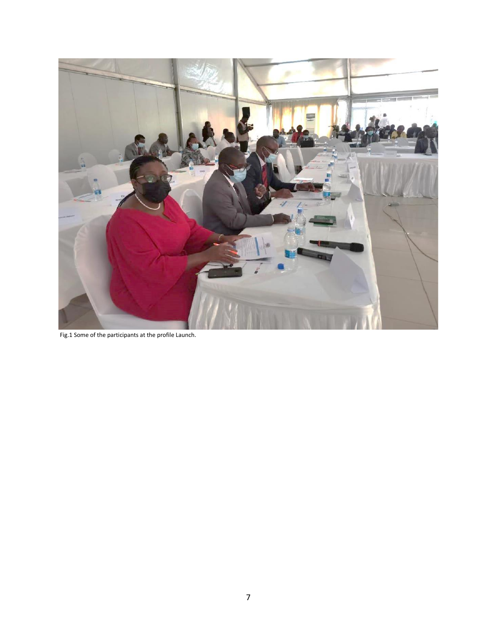

Fig.1 Some of the participants at the profile Launch.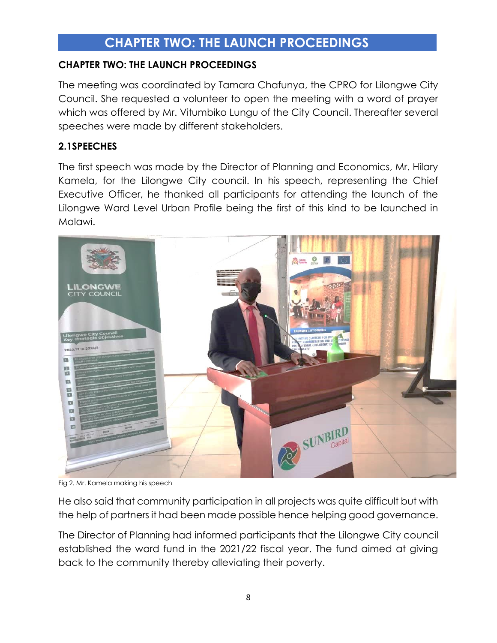### **CHAPTER TWO: THE LAUNCH PROCEEDINGS**

#### **CHAPTER TWO: THE LAUNCH PROCEEDINGS**

The meeting was coordinated by Tamara Chafunya, the CPRO for Lilongwe City Council. She requested a volunteer to open the meeting with a word of prayer which was offered by Mr. Vitumbiko Lungu of the City Council. Thereafter several speeches were made by different stakeholders.

#### **2.1SPEECHES**

The first speech was made by the Director of Planning and Economics, Mr. Hilary Kamela, for the Lilongwe City council. In his speech, representing the Chief Executive Officer, he thanked all participants for attending the launch of the Lilongwe Ward Level Urban Profile being the first of this kind to be launched in Malawi.



Fig 2. Mr. Kamela making his speech

He also said that community participation in all projects was quite difficult but with the help of partners it had been made possible hence helping good governance.

The Director of Planning had informed participants that the Lilongwe City council established the ward fund in the 2021/22 fiscal year. The fund aimed at giving back to the community thereby alleviating their poverty.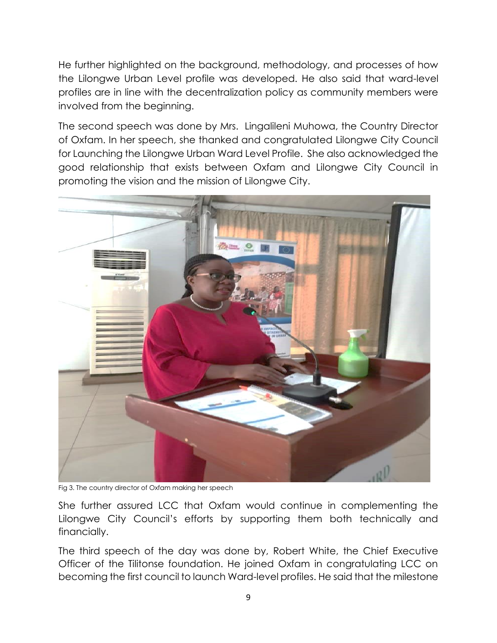He further highlighted on the background, methodology, and processes of how the Lilongwe Urban Level profile was developed. He also said that ward-level profiles are in line with the decentralization policy as community members were involved from the beginning.

The second speech was done by Mrs. Lingalileni Muhowa, the Country Director of Oxfam. In her speech, she thanked and congratulated Lilongwe City Council for Launching the Lilongwe Urban Ward Level Profile. She also acknowledged the good relationship that exists between Oxfam and Lilongwe City Council in promoting the vision and the mission of Lilongwe City.



Fig 3. The country director of Oxfam making her speech

She further assured LCC that Oxfam would continue in complementing the Lilongwe City Council's efforts by supporting them both technically and financially.

The third speech of the day was done by, Robert White, the Chief Executive Officer of the Tilitonse foundation. He joined Oxfam in congratulating LCC on becoming the first council to launch Ward-level profiles. He said that the milestone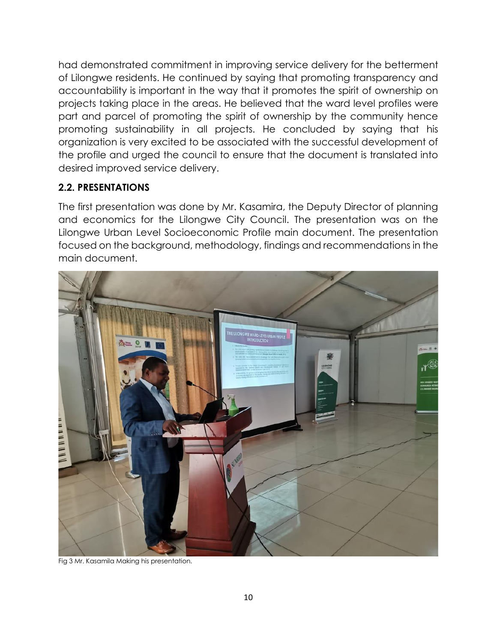had demonstrated commitment in improving service delivery for the betterment of Lilongwe residents. He continued by saying that promoting transparency and accountability is important in the way that it promotes the spirit of ownership on projects taking place in the areas. He believed that the ward level profiles were part and parcel of promoting the spirit of ownership by the community hence promoting sustainability in all projects. He concluded by saying that his organization is very excited to be associated with the successful development of the profile and urged the council to ensure that the document is translated into desired improved service delivery.

### **2.2. PRESENTATIONS**

The first presentation was done by Mr. Kasamira, the Deputy Director of planning and economics for the Lilongwe City Council. The presentation was on the Lilongwe Urban Level Socioeconomic Profile main document. The presentation focused on the background, methodology, findings and recommendations in the main document.



Fig 3 Mr. Kasamila Making his presentation.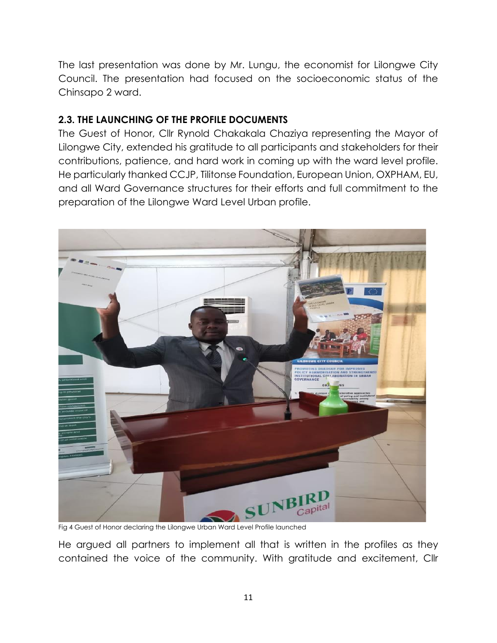The last presentation was done by Mr. Lungu, the economist for Lilongwe City Council. The presentation had focused on the socioeconomic status of the Chinsapo 2 ward.

#### **2.3. THE LAUNCHING OF THE PROFILE DOCUMENTS**

The Guest of Honor, Cllr Rynold Chakakala Chaziya representing the Mayor of Lilongwe City, extended his gratitude to all participants and stakeholders for their contributions, patience, and hard work in coming up with the ward level profile. He particularly thanked CCJP, Tilitonse Foundation, European Union, OXPHAM, EU, and all Ward Governance structures for their efforts and full commitment to the preparation of the Lilongwe Ward Level Urban profile.



Fig 4 Guest of Honor declaring the Lilongwe Urban Ward Level Profile launched

He argued all partners to implement all that is written in the profiles as they contained the voice of the community. With gratitude and excitement, Cllr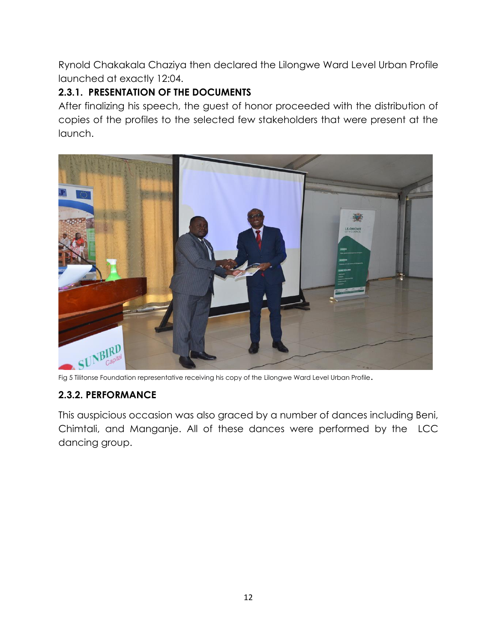Rynold Chakakala Chaziya then declared the Lilongwe Ward Level Urban Profile launched at exactly 12:04.

### **2.3.1. PRESENTATION OF THE DOCUMENTS**

After finalizing his speech, the guest of honor proceeded with the distribution of copies of the profiles to the selected few stakeholders that were present at the launch.



Fig 5 Tilitonse Foundation representative receiving his copy of the Lilongwe Ward Level Urban Profile.

### **2.3.2. PERFORMANCE**

This auspicious occasion was also graced by a number of dances including Beni, Chimtali, and Manganje. All of these dances were performed by the LCC dancing group.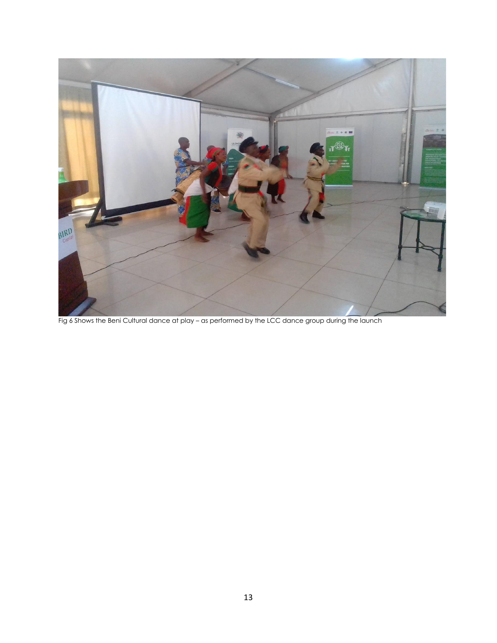

Fig 6 Shows the Beni Cultural dance at play – as performed by the LCC dance group during the launch